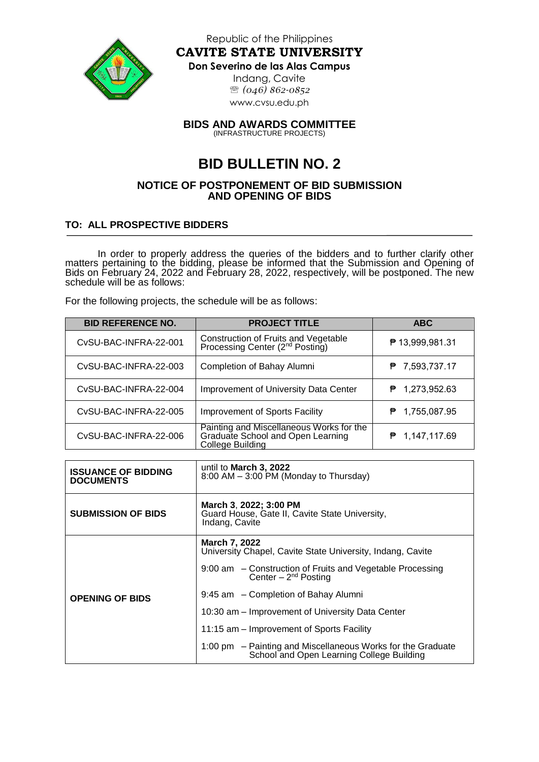

Republic of the Philippines **CAVITE STATE UNIVERSITY**

## **Don Severino de las Alas Campus**

Indang, Cavite *(046) 862-0852* [www.cvsu.edu.ph](http://www.cvsu.edu.ph/)

**BIDS AND AWARDS COMMITTEE** (INFRASTRUCTURE PROJECTS)

## **BID BULLETIN NO. 2**

## **NOTICE OF POSTPONEMENT OF BID SUBMISSION AND OPENING OF BIDS**

## **TO: ALL PROSPECTIVE BIDDERS**

In order to properly address the queries of the bidders and to further clarify other matters pertaining to the bidding, please be informed that the Submission and Opening of Bids on February 24, 2022 and February 28, 2022, respectively, will be postponed. The new schedule will be as follows:

For the following projects, the schedule will be as follows:

| <b>BID REFERENCE NO.</b> | <b>PROJECT TITLE</b>                                                                                     | <b>ABC</b>         |
|--------------------------|----------------------------------------------------------------------------------------------------------|--------------------|
| CvSU-BAC-INFRA-22-001    | Construction of Fruits and Vegetable<br>Processing Center (2 <sup>nd</sup> Posting)                      | ₱ 13,999,981.31    |
| CySU-BAC-INFRA-22-003    | Completion of Bahay Alumni                                                                               | 7,593,737.17<br>₱  |
| CvSU-BAC-INFRA-22-004    | Improvement of University Data Center                                                                    | 1,273,952.63<br>₱. |
| CvSU-BAC-INFRA-22-005    | Improvement of Sports Facility                                                                           | $P$ 1,755,087.95   |
| CvSU-BAC-INFRA-22-006    | Painting and Miscellaneous Works for the<br>Graduate School and Open Learning<br><b>College Building</b> | 1,147,117.69<br>₱. |

| <b>ISSUANCE OF BIDDING</b><br><b>DOCUMENTS</b> | until to <b>March 3, 2022</b><br>8:00 AM - 3:00 PM (Monday to Thursday)                                                                                                                                                                                                                                       |  |
|------------------------------------------------|---------------------------------------------------------------------------------------------------------------------------------------------------------------------------------------------------------------------------------------------------------------------------------------------------------------|--|
| <b>SUBMISSION OF BIDS</b>                      | March 3, 2022; 3:00 PM<br>Guard House, Gate II, Cavite State University,<br>Indang, Cavite                                                                                                                                                                                                                    |  |
| <b>OPENING OF BIDS</b>                         | March 7, 2022<br>University Chapel, Cavite State University, Indang, Cavite<br>9:00 am – Construction of Fruits and Vegetable Processing<br>Center $-2^{nd}$ Posting<br>9:45 am - Completion of Bahay Alumni<br>10:30 am – Improvement of University Data Center<br>11:15 am – Improvement of Sports Facility |  |
|                                                | 1:00 pm – Painting and Miscellaneous Works for the Graduate<br>School and Open Learning College Building                                                                                                                                                                                                      |  |